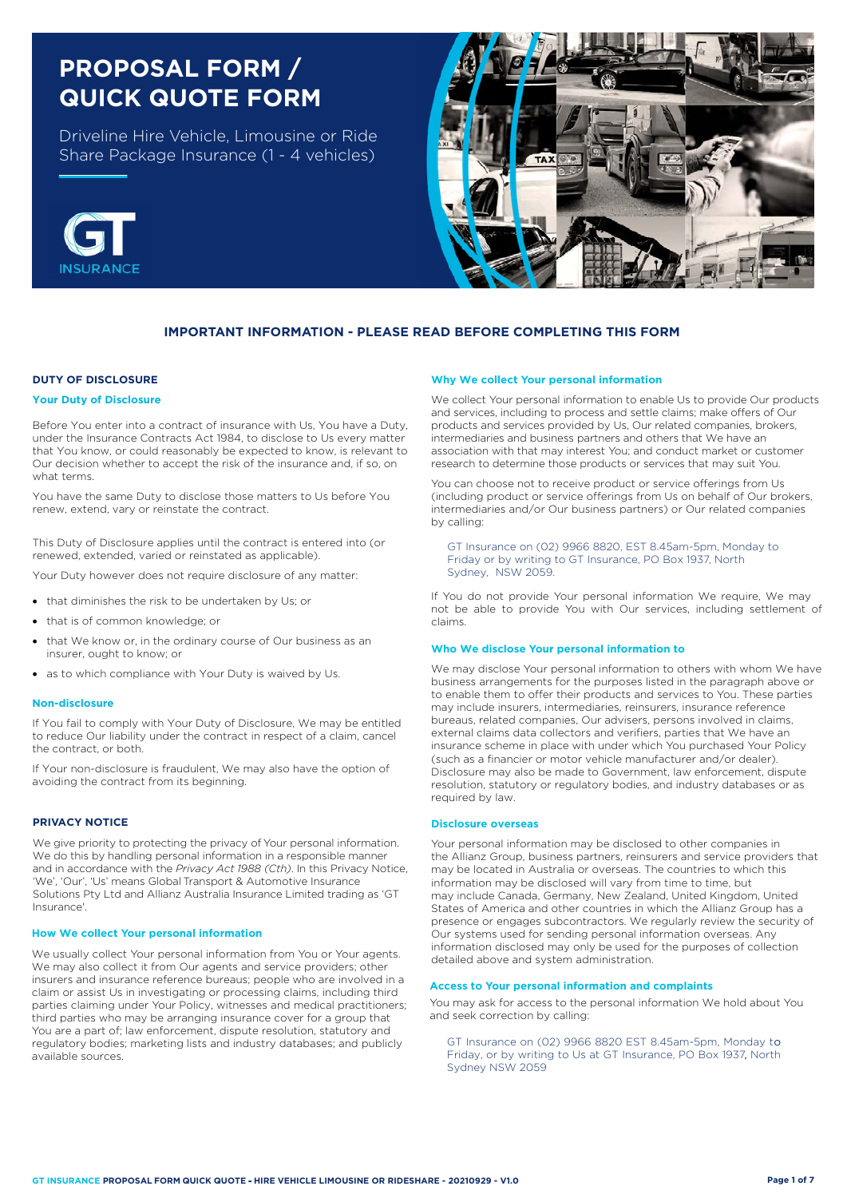# **PROPOSAL FORM / QUICK QUOTE FORM**

Driveline Hire Vehicle, Limousine or Ride Share Package Insurance (1 - 4 vehicles)





## **IMPORTANT INFORMATION - PLEASE READ BEFORE COMPLETING THIS FORM**

### **DUTY OF DISCLOSURE**

#### **Your Duty of Disclosure**

Before You enter into a contract of insurance with Us, You have a Duty, under the Insurance Contracts Act 1984, to disclose to Us every matter that You know, or could reasonably be expected to know, is relevant to Our decision whether to accept the risk of the insurance and, if so, on what terms.

You have the same Duty to disclose those matters to Us before You renew, extend, vary or reinstate the contract.

This Duty of Disclosure applies until the contract is entered into (or renewed, extended, varied or reinstated as applicable).

Your Duty however does not require disclosure of any matter:

- that diminishes the risk to be undertaken by Us; or
- that is of common knowledge; or
- that We know or, in the ordinary course of Our business as an insurer, ought to know; or
- as to which compliance with Your Duty is waived by Us.

#### **Non-disclosure**

If You fail to comply with Your Duty of Disclosure, We may be entitled to reduce Our liability under the contract in respect of a claim, cancel the contract, or both.

If Your non-disclosure is fraudulent, We may also have the option of avoiding the contract from its beginning.

#### **PRIVACY NOTICE**

We give priority to protecting the privacy of Your personal information. We do this by handling personal information in a responsible manner and in accordance with the *Privacy Act 1988 (Cth)*. In this Privacy Notice, 'We', 'Our', 'Us' means Global Transport & Automotive Insurance Solutions Pty Ltd and Allianz Australia Insurance Limited trading as 'GT Insurance'.

#### **How We collect Your personal information**

We usually collect Your personal information from You or Your agents. We may also collect it from Our agents and service providers; other insurers and insurance reference bureaus; people who are involved in a claim or assist Us in investigating or processing claims, including third parties claiming under Your Policy, witnesses and medical practitioners; third parties who may be arranging insurance cover for a group that You are a part of; law enforcement, dispute resolution, statutory and regulatory bodies; marketing lists and industry databases; and publicly available sources.

#### **Why We collect Your personal information**

We collect Your personal information to enable Us to provide Our products and services, including to process and settle claims; make offers of Our products and services provided by Us, Our related companies, brokers, intermediaries and business partners and others that We have an association with that may interest You; and conduct market or customer research to determine those products or services that may suit You.

You can choose not to receive product or service offerings from Us (including product or service offerings from Us on behalf of Our brokers, intermediaries and/or Our business partners) or Our related companies by calling:

GT Insurance on (02) 9966 8820, EST 8.45am-5pm, Monday to Friday or by writing to GT Insurance, PO Box 1937, North Sydney, NSW 2059.

If You do not provide Your personal information We require, We may not be able to provide You with Our services, including settlement of claims.

#### **Who We disclose Your personal information to**

We may disclose Your personal information to others with whom We have business arrangements for the purposes listed in the paragraph above or to enable them to offer their products and services to You. These parties may include insurers, intermediaries, reinsurers, insurance reference bureaus, related companies, Our advisers, persons involved in claims, external claims data collectors and verifiers, parties that We have an insurance scheme in place with under which You purchased Your Policy (such as a financier or motor vehicle manufacturer and/or dealer). Disclosure may also be made to Government, law enforcement, dispute resolution, statutory or regulatory bodies, and industry databases or as required by law.

#### **Disclosure overseas**

Your personal information may be disclosed to other companies in the Allianz Group, business partners, reinsurers and service providers that may be located in Australia or overseas. The countries to which this information may be disclosed will vary from time to time, but may include Canada, Germany, New Zealand, United Kingdom, United States of America and other countries in which the Allianz Group has a presence or engages subcontractors. We regularly review the security of Our systems used for sending personal information overseas. Any information disclosed may only be used for the purposes of collection detailed above and system administration.

## **Access to Your personal information and complaints**

You may ask for access to the personal information We hold about You and seek correction by calling:

GT Insurance on (02) 9966 8820 EST 8.45am-5pm, Monday to Friday, or by writing to Us at GT Insurance, PO Box 1937, North Sydney NSW 2059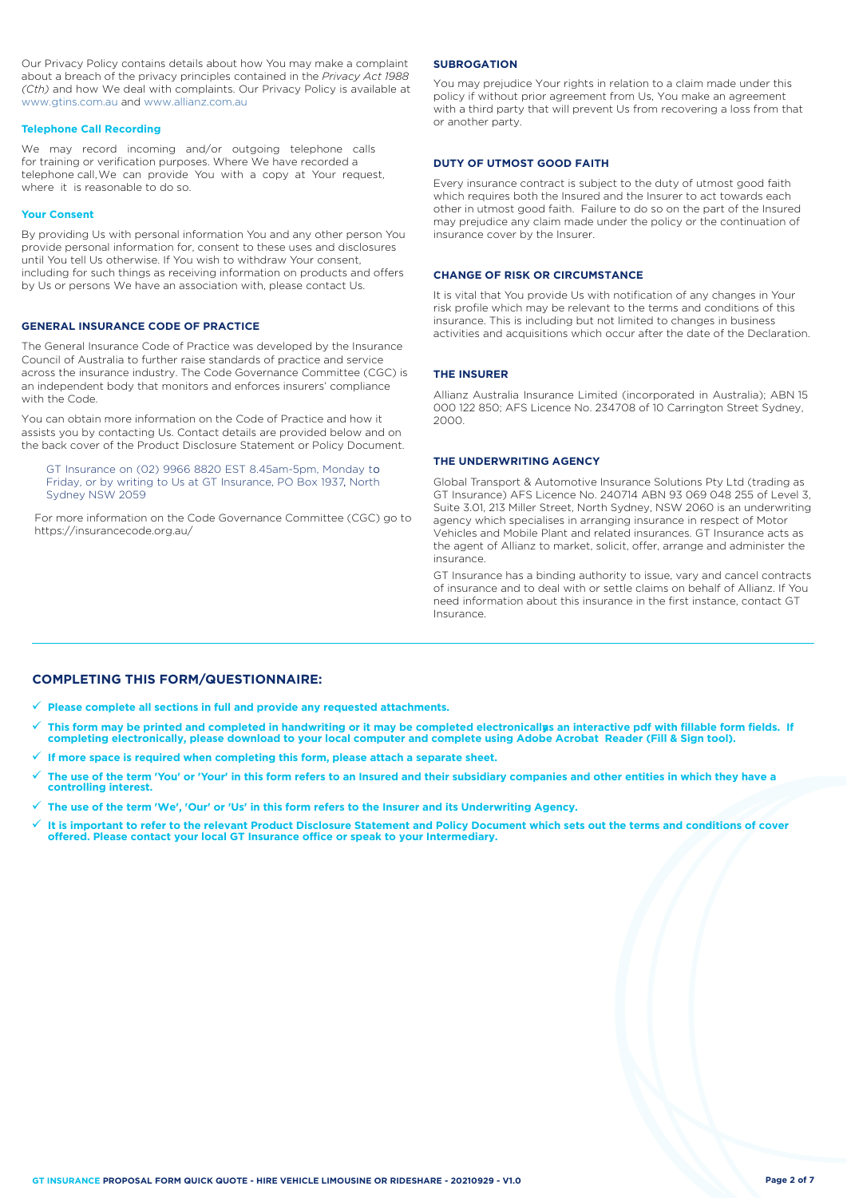Our Privacy Policy contains details about how You may make a complaint about a breach of the privacy principles contained in the *Privacy Act 1988 (Cth)* and how We deal with complaints. Our Privacy Policy is available at [www.gtins.com.au](https://www.gtins.com.au/documents-and-policies/) and [www.allianz.com.au](https://www.allianz.com.au/about-us/privacy/)

#### **Telephone Call Recording**

We may record incoming and/or outgoing telephone calls for training or verification purposes. Where We have recorded a telephone call,We can provide You with a copy at Your request, where it is reasonable to do so.

#### **Your Consent**

By providing Us with personal information You and any other person You provide personal information for, consent to these uses and disclosures until You tell Us otherwise. If You wish to withdraw Your consent, including for such things as receiving information on products and offers by Us or persons We have an association with, please contact Us.

#### **GENERAL INSURANCE CODE OF PRACTICE**

The General Insurance Code of Practice was developed by the Insurance Council of Australia to further raise standards of practice and service across the insurance industry. The Code Governance Committee (CGC) is an independent body that monitors and enforces insurers' compliance with the Code.

You can obtain more information on the Code of Practice and how it assists you by contacting Us. Contact details are provided below and on the back cover of the Product Disclosure Statement or Policy Document.

GT Insurance on (02) 9966 8820 EST 8.45am-5pm, Monday to Friday, or by writing to Us at GT Insurance, PO Box 1937, North Sydney NSW 2059

For more information on the Code Governance Committee (CGC) go to <https://insurancecode.org.au/>

#### **SUBROGATION**

You may prejudice Your rights in relation to a claim made under this policy if without prior agreement from Us, You make an agreement with a third party that will prevent Us from recovering a loss from that or another party.

#### **DUTY OF UTMOST GOOD FAITH**

Every insurance contract is subject to the duty of utmost good faith which requires both the Insured and the Insurer to act towards each other in utmost good faith. Failure to do so on the part of the Insured may prejudice any claim made under the policy or the continuation of insurance cover by the Insurer.

#### **CHANGE OF RISK OR CIRCUMSTANCE**

It is vital that You provide Us with notification of any changes in Your risk profile which may be relevant to the terms and conditions of this insurance. This is including but not limited to changes in business activities and acquisitions which occur after the date of the Declaration.

#### **THE INSURER**

Allianz Australia Insurance Limited (incorporated in Australia); ABN 15 000 122 850; AFS Licence No. 234708 of 10 Carrington Street Sydney, 2000.

## **THE UNDERWRITING AGENCY**

Global Transport & Automotive Insurance Solutions Pty Ltd (trading as GT Insurance) AFS Licence No. 240714 ABN 93 069 048 255 of Level 3, Suite 3.01, 213 Miller Street, North Sydney, NSW 2060 is an underwriting agency which specialises in arranging insurance in respect of Motor Vehicles and Mobile Plant and related insurances. GT Insurance acts as the agent of Allianz to market, solicit, offer, arrange and administer the insurance.

GT Insurance has a binding authority to issue, vary and cancel contracts of insurance and to deal with or settle claims on behalf of Allianz. If You need information about this insurance in the first instance, contact GT Insurance.

## **COMPLETING THIS FORM/QUESTIONNAIRE:**

**Please complete all sections in full and provide any requested attachments.**

- $\checkmark$  This form may be printed and completed in handwriting or it may be completed electronicallys an interactive pdf with fillable form fields. If **completing electronically, please download to your local computer and complete using Adobe Acrobat Reader (Fill & Sign tool).**
- **If more space is required when completing this form, please attach a separate sheet.**
- **The use of the term 'You' or 'Your' in this form refers to an Insured and their subsidiary companies and other entities in which they have a controlling interest.**
- **The use of the term 'We', 'Our' or 'Us' in this form refers to the Insurer and its Underwriting Agency.**
- $\checkmark$  It is important to refer to the relevant Product Disclosure Statement and Policy Document which sets out the terms and conditions of cover<br>offered. Please contact your local GT Insurance office or speak to your Inte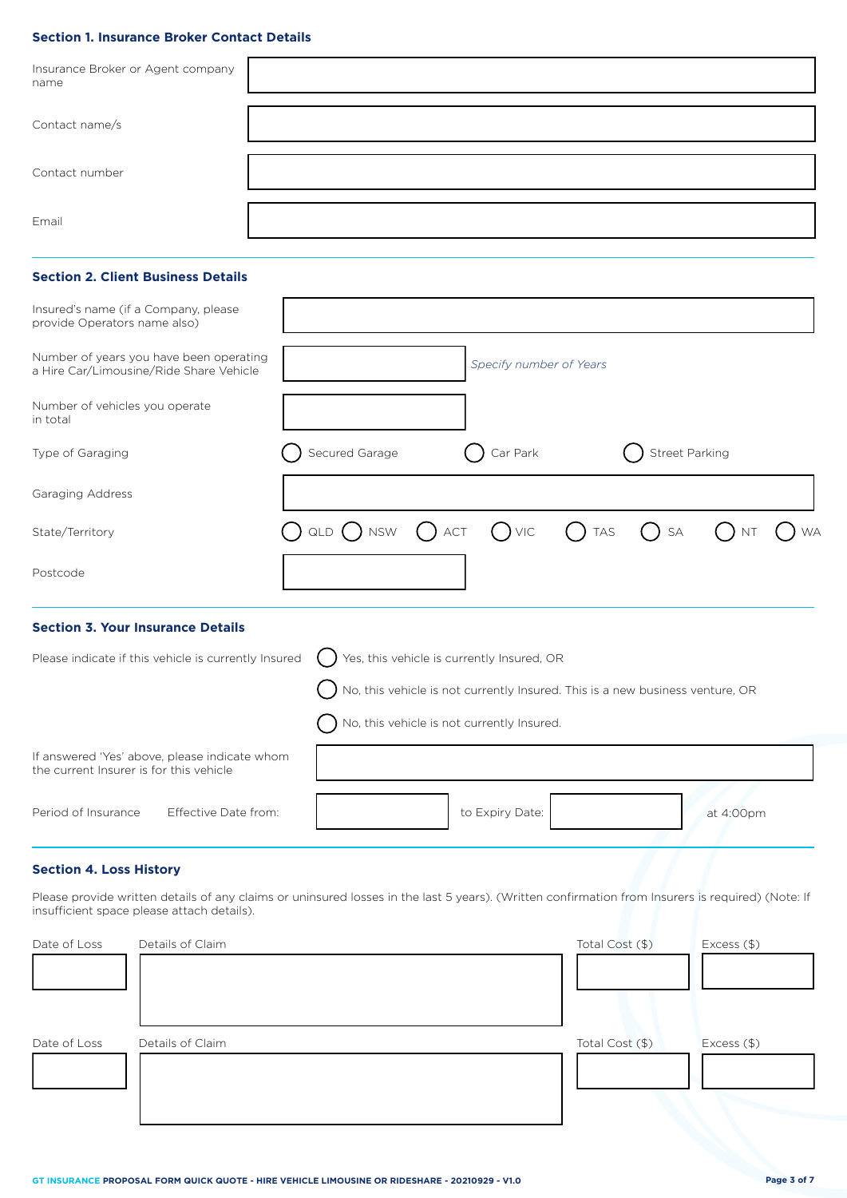# **Section 1. Insurance Broker Contact Details**

| Insurance Broker or Agent company<br>name |  |
|-------------------------------------------|--|
| Contact name/s                            |  |
| Contact number                            |  |
| Email                                     |  |

# **Section 2. Client Business Details**

| Insured's name (if a Company, please<br>provide Operators name also)               |                                                                                                                   |
|------------------------------------------------------------------------------------|-------------------------------------------------------------------------------------------------------------------|
| Number of years you have been operating<br>a Hire Car/Limousine/Ride Share Vehicle | Specify number of Years                                                                                           |
| Number of vehicles you operate<br>in total                                         |                                                                                                                   |
| Type of Garaging                                                                   | Car Park<br>Secured Garage<br>Street Parking                                                                      |
| Garaging Address                                                                   |                                                                                                                   |
| State/Territory                                                                    | $\bigcap$ qld $\bigcap$ nsw $\bigcap$ act $\bigcap$ vic $\bigcap$ tas $\bigcap$ sa $\bigcap$ nt $\bigcap$<br>) WA |
| Postcode                                                                           |                                                                                                                   |
| <b>Section 3. Your Insurance Details</b>                                           |                                                                                                                   |
| Please indicate if this vehicle is currently Insured                               | Yes, this vehicle is currently Insured, OR                                                                        |

|                                                                                          | $\bigcirc$ ) No, this vehicle is not currently Insured. This is a new business venture, OR |
|------------------------------------------------------------------------------------------|--------------------------------------------------------------------------------------------|
| If answered 'Yes' above, please indicate whom<br>the current Insurer is for this vehicle | $\bigcap$ No, this vehicle is not currently Insured.                                       |
| Period of Insurance<br>Effective Date from:                                              | to Expiry Date:<br>at 4:00pm                                                               |

# **Section 4. Loss History**

Please provide written details of any claims or uninsured losses in the last 5 years). (Written confirmation from Insurers is required) (Note: If insufficient space please attach details).

| Date of Loss | Details of Claim | Total Cost (\$) | Excess (\$) |
|--------------|------------------|-----------------|-------------|
|              |                  |                 |             |
|              |                  |                 |             |
| Date of Loss | Details of Claim | Total Cost (\$) | Excess (\$) |
|              |                  |                 |             |
|              |                  |                 |             |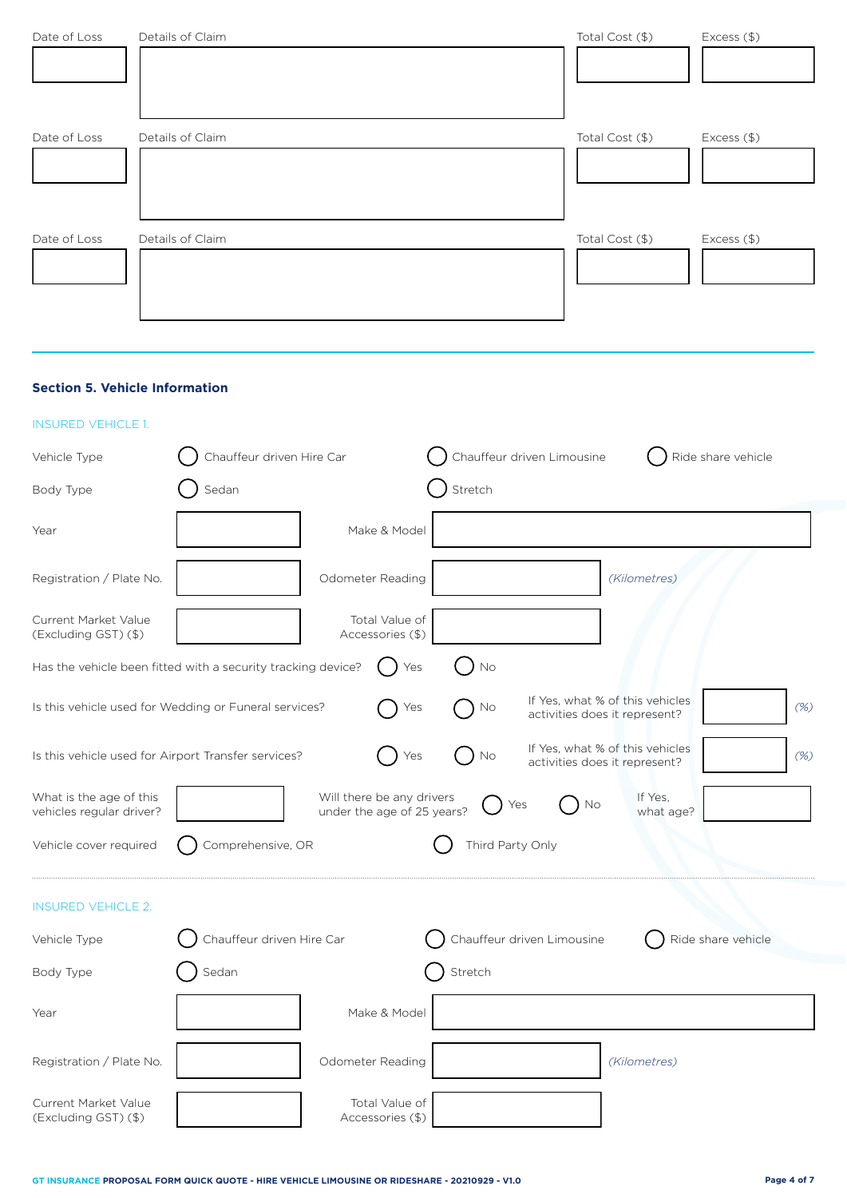| Date of Loss | Details of Claim | Total Cost (\$) | Excess (\$) |
|--------------|------------------|-----------------|-------------|
| Date of Loss | Details of Claim | Total Cost (\$) | Excess (\$) |
| Date of Loss | Details of Claim | Total Cost (\$) | Excess (\$) |

# **Section 5. Vehicle Information**

| <b>INSURED VEHICLE 1.</b>                                    |                           |                                                         |                  |                               |                                 |                    |        |
|--------------------------------------------------------------|---------------------------|---------------------------------------------------------|------------------|-------------------------------|---------------------------------|--------------------|--------|
| Vehicle Type                                                 | Chauffeur driven Hire Car |                                                         |                  | Chauffeur driven Limousine    |                                 | Ride share vehicle |        |
| Body Type                                                    | Sedan                     |                                                         | Stretch          |                               |                                 |                    |        |
| Year                                                         |                           | Make & Model                                            |                  |                               |                                 |                    |        |
| Registration / Plate No.                                     |                           | Odometer Reading                                        |                  |                               | (Kilometres)                    |                    |        |
| Current Market Value<br>(Excluding GST) (\$)                 |                           | Total Value of<br>Accessories (\$)                      |                  |                               |                                 |                    |        |
| Has the vehicle been fitted with a security tracking device? |                           | Yes                                                     | No               |                               |                                 |                    |        |
| Is this vehicle used for Wedding or Funeral services?        |                           | Yes                                                     | No               | activities does it represent? | If Yes, what % of this vehicles |                    | (% )   |
| Is this vehicle used for Airport Transfer services?          |                           | Yes                                                     | No               | activities does it represent? | If Yes, what % of this vehicles |                    | $(\%)$ |
| What is the age of this<br>vehicles regular driver?          |                           | Will there be any drivers<br>under the age of 25 years? |                  | No<br>Yes                     | If Yes,<br>what age?            |                    |        |
| Vehicle cover required                                       | Comprehensive, OR         |                                                         | Third Party Only |                               |                                 |                    |        |
| <b>INSURED VEHICLE 2.</b>                                    |                           |                                                         |                  |                               |                                 |                    |        |
| Vehicle Type                                                 | Chauffeur driven Hire Car |                                                         |                  | Chauffeur driven Limousine    |                                 | Ride share vehicle |        |
| Body Type                                                    | Sedan                     |                                                         | Stretch          |                               |                                 |                    |        |
| Year                                                         |                           | Make & Model                                            |                  |                               |                                 |                    |        |
| Registration / Plate No.                                     |                           | Odometer Reading                                        |                  |                               | (Kilometres)                    |                    |        |
| Current Market Value<br>(Excluding GST) (\$)                 |                           | Total Value of<br>Accessories (\$)                      |                  |                               |                                 |                    |        |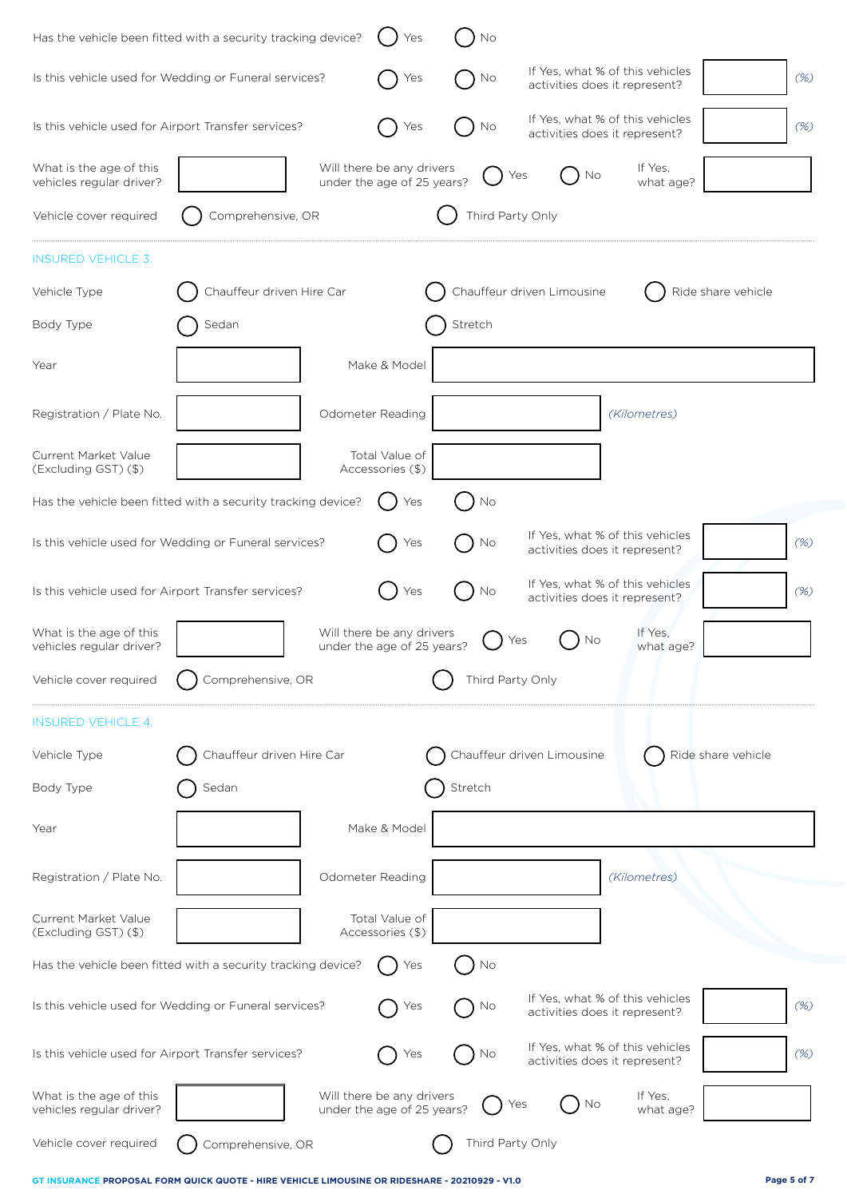| Has the vehicle been fitted with a security tracking device? |                           | Yes                                                     | No               |                                                                  |                    |
|--------------------------------------------------------------|---------------------------|---------------------------------------------------------|------------------|------------------------------------------------------------------|--------------------|
| Is this vehicle used for Wedding or Funeral services?        |                           | Yes                                                     | No               | If Yes, what % of this vehicles<br>activities does it represent? | (%)                |
| Is this vehicle used for Airport Transfer services?          |                           | Yes                                                     | No               | If Yes, what % of this vehicles<br>activities does it represent? | (%)                |
| What is the age of this<br>vehicles regular driver?          |                           | Will there be any drivers<br>under the age of 25 years? |                  | If Yes,<br>No<br>Yes<br>what age?                                |                    |
| Vehicle cover required                                       | Comprehensive, OR         |                                                         | Third Party Only |                                                                  |                    |
| <b>INSURED VEHICLE 3.</b>                                    |                           |                                                         |                  |                                                                  |                    |
| Vehicle Type                                                 | Chauffeur driven Hire Car |                                                         |                  | Chauffeur driven Limousine                                       | Ride share vehicle |
| Body Type                                                    | Sedan                     |                                                         | Stretch          |                                                                  |                    |
| Year                                                         |                           | Make & Model                                            |                  |                                                                  |                    |
| Registration / Plate No.                                     |                           | Odometer Reading                                        |                  | (Kilometres)                                                     |                    |
| Current Market Value                                         |                           | Total Value of                                          |                  |                                                                  |                    |
| (Excluding GST) (\$)                                         |                           | Accessories (\$)                                        |                  |                                                                  |                    |
| Has the vehicle been fitted with a security tracking device? |                           | Yes                                                     | No               |                                                                  |                    |
| Is this vehicle used for Wedding or Funeral services?        |                           | Yes                                                     | No               | If Yes, what % of this vehicles<br>activities does it represent? | (%)                |
| Is this vehicle used for Airport Transfer services?          |                           | Yes                                                     | No.              | If Yes, what % of this vehicles<br>activities does it represent? | (%)                |
| What is the age of this<br>vehicles regular driver?          |                           | Will there be any drivers<br>under the age of 25 years? |                  | If Yes.<br>No<br>Yes<br>what age?                                |                    |
| Vehicle cover required                                       | Comprehensive, OR         |                                                         | Third Party Only |                                                                  |                    |
| <b>INSURED VEHICLE 4.</b>                                    |                           |                                                         |                  |                                                                  |                    |
| Vehicle Type                                                 | Chauffeur driven Hire Car |                                                         |                  | Chauffeur driven Limousine                                       | Ride share vehicle |
| Body Type                                                    | Sedan                     |                                                         | Stretch          |                                                                  |                    |
| Year                                                         |                           | Make & Model                                            |                  |                                                                  |                    |
| Registration / Plate No.                                     |                           | Odometer Reading                                        |                  | (Kilometres)                                                     |                    |
| Current Market Value<br>(Excluding GST) (\$)                 |                           | Total Value of<br>Accessories (\$)                      |                  |                                                                  |                    |
| Has the vehicle been fitted with a security tracking device? |                           | Yes                                                     | No               |                                                                  |                    |
| Is this vehicle used for Wedding or Funeral services?        |                           | Yes                                                     | No               | If Yes, what % of this vehicles<br>activities does it represent? | $(\%)$             |
| Is this vehicle used for Airport Transfer services?          |                           | Yes                                                     | No               | If Yes, what % of this vehicles<br>activities does it represent? | $(\%)$             |
| What is the age of this<br>vehicles regular driver?          |                           | Will there be any drivers<br>under the age of 25 years? |                  | If Yes,<br>No<br>Yes<br>what age?                                |                    |
| Vehicle cover required                                       | Comprehensive, OR         |                                                         | Third Party Only |                                                                  |                    |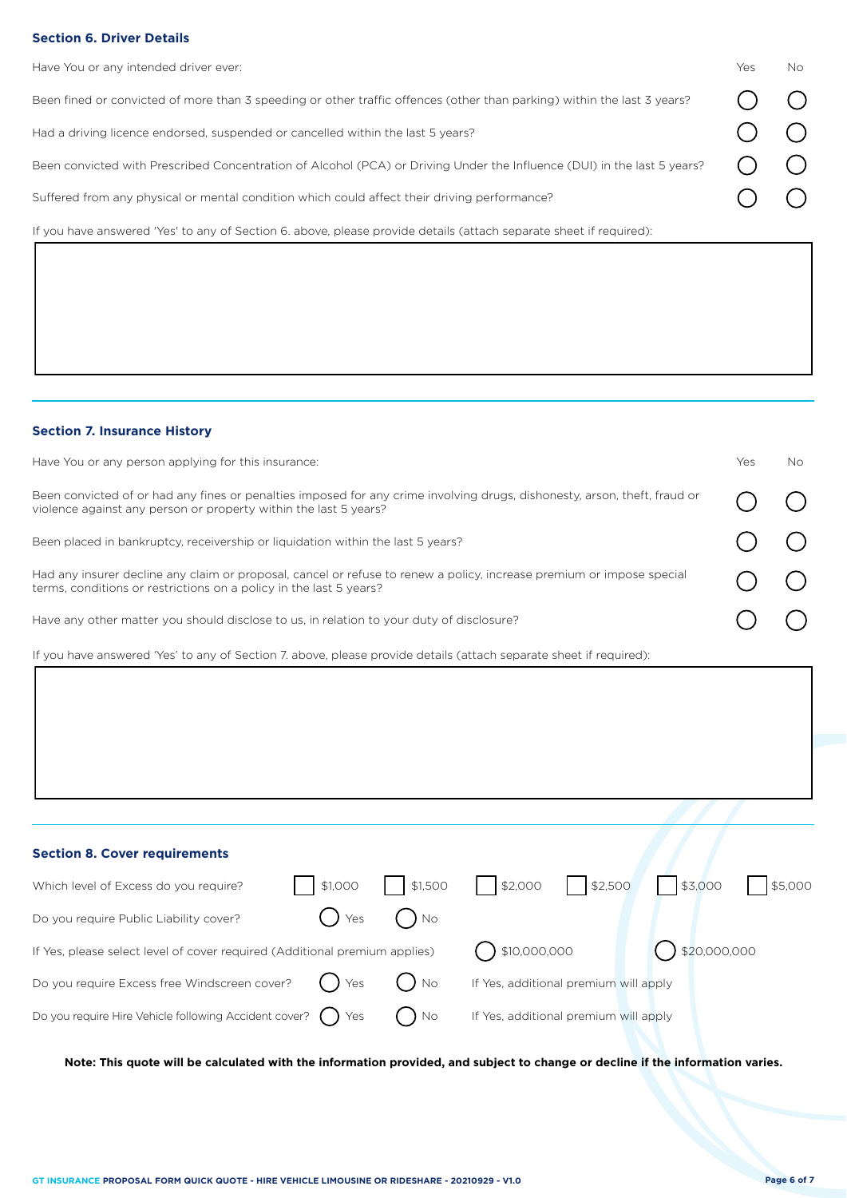# **Section 6. Driver Details**

| Have You or any intended driver ever:                                                                                   | Yes | No. |
|-------------------------------------------------------------------------------------------------------------------------|-----|-----|
| Been fined or convicted of more than 3 speeding or other traffic offences (other than parking) within the last 3 years? |     |     |
| Had a driving licence endorsed, suspended or cancelled within the last 5 years?                                         |     |     |
| Been convicted with Prescribed Concentration of Alcohol (PCA) or Driving Under the Influence (DUI) in the last 5 years? |     |     |
| Suffered from any physical or mental condition which could affect their driving performance?                            |     |     |
| If you have answered 'Yes' to any of Section 6, above, please provide details (attach separate sheet if required):      |     |     |

# **Section 7. Insurance History**

| Have You or any person applying for this insurance:                                                                                                                                           | Yes | No. |
|-----------------------------------------------------------------------------------------------------------------------------------------------------------------------------------------------|-----|-----|
| Been convicted of or had any fines or penalties imposed for any crime involving drugs, dishonesty, arson, theft, fraud or<br>violence against any person or property within the last 5 years? |     |     |
| Been placed in bankruptcy, receivership or liquidation within the last 5 years?                                                                                                               |     |     |
| Had any insurer decline any claim or proposal, cancel or refuse to renew a policy, increase premium or impose special<br>terms, conditions or restrictions on a policy in the last 5 years?   |     |     |
| Have any other matter you should disclose to us, in relation to your duty of disclosure?                                                                                                      |     |     |

If you have answered 'Yes' to any of Section 7. above, please provide details (attach separate sheet if required):

| <b>Section 8. Cover requirements</b>                                       |          |          |                                             |                                       |                    |         |
|----------------------------------------------------------------------------|----------|----------|---------------------------------------------|---------------------------------------|--------------------|---------|
| Which level of Excess do you require?                                      |          |          | \$1,000     \$1,500     \$2,000     \$2,500 |                                       | \$3,000            | \$5,000 |
| Do you require Public Liability cover?                                     | $()$ Yes | $)$ No   |                                             |                                       |                    |         |
| If Yes, please select level of cover required (Additional premium applies) |          |          | $( )$ \$10,000,000                          |                                       | $( )$ \$20,000,000 |         |
| Do you require Excess free Windscreen cover?                               | $()$ Yes | $($ ) No |                                             | If Yes, additional premium will apply |                    |         |
| Do you require Hire Vehicle following Accident cover? $\bigcap$ Yes        |          | $)$ No   |                                             | If Yes, additional premium will apply |                    |         |

**Note: This quote will be calculated with the information provided, and subject to change or decline if the information varies.**